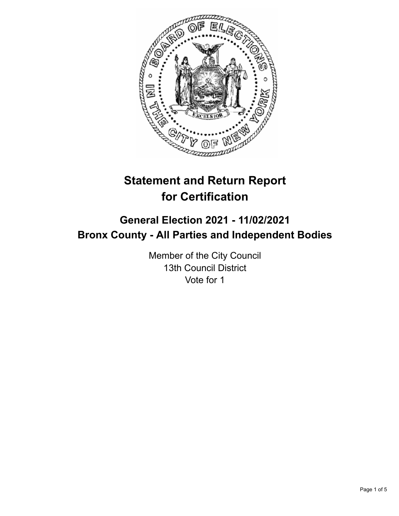

# **Statement and Return Report for Certification**

## **General Election 2021 - 11/02/2021 Bronx County - All Parties and Independent Bodies**

Member of the City Council 13th Council District Vote for 1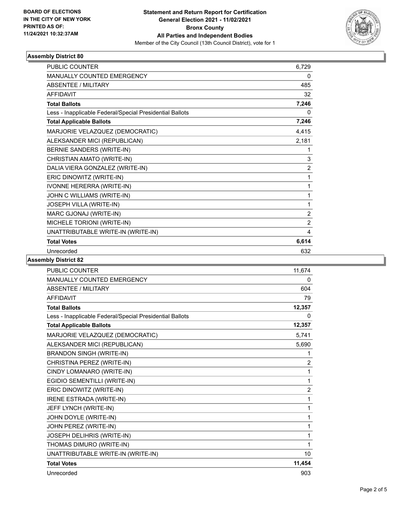

### **Assembly District 80**

| <b>PUBLIC COUNTER</b>                                    | 6,729          |
|----------------------------------------------------------|----------------|
| <b>MANUALLY COUNTED EMERGENCY</b>                        | 0              |
| <b>ABSENTEE / MILITARY</b>                               | 485            |
| <b>AFFIDAVIT</b>                                         | 32             |
| <b>Total Ballots</b>                                     | 7,246          |
| Less - Inapplicable Federal/Special Presidential Ballots | 0              |
| <b>Total Applicable Ballots</b>                          | 7,246          |
| MARJORIE VELAZQUEZ (DEMOCRATIC)                          | 4,415          |
| ALEKSANDER MICI (REPUBLICAN)                             | 2,181          |
| BERNIE SANDERS (WRITE-IN)                                | 1              |
| CHRISTIAN AMATO (WRITE-IN)                               | 3              |
| DALIA VIERA GONZALEZ (WRITE-IN)                          | $\overline{2}$ |
| ERIC DINOWITZ (WRITE-IN)                                 | 1              |
| IVONNE HERERRA (WRITE-IN)                                | 1              |
| JOHN C WILLIAMS (WRITE-IN)                               | 1              |
| JOSEPH VILLA (WRITE-IN)                                  | 1              |
| MARC GJONAJ (WRITE-IN)                                   | $\overline{2}$ |
| MICHELE TORIONI (WRITE-IN)                               | $\overline{2}$ |
| UNATTRIBUTABLE WRITE-IN (WRITE-IN)                       | 4              |
| <b>Total Votes</b>                                       | 6,614          |
| Unrecorded                                               | 632            |

**Assembly District 82**

| <b>PUBLIC COUNTER</b>                                    | 11,674         |
|----------------------------------------------------------|----------------|
| <b>MANUALLY COUNTED EMERGENCY</b>                        | 0              |
| <b>ABSENTEE / MILITARY</b>                               | 604            |
| <b>AFFIDAVIT</b>                                         | 79             |
| <b>Total Ballots</b>                                     | 12,357         |
| Less - Inapplicable Federal/Special Presidential Ballots | 0              |
| <b>Total Applicable Ballots</b>                          | 12,357         |
| MARJORIE VELAZQUEZ (DEMOCRATIC)                          | 5,741          |
| ALEKSANDER MICI (REPUBLICAN)                             | 5,690          |
| <b>BRANDON SINGH (WRITE-IN)</b>                          | 1              |
| CHRISTINA PEREZ (WRITE-IN)                               | $\overline{2}$ |
| CINDY LOMANARO (WRITE-IN)                                | 1              |
| EGIDIO SEMENTILLI (WRITE-IN)                             | 1              |
| ERIC DINOWITZ (WRITE-IN)                                 | $\overline{2}$ |
| IRENE ESTRADA (WRITE-IN)                                 | 1              |
| JEFF LYNCH (WRITE-IN)                                    | 1              |
| JOHN DOYLE (WRITE-IN)                                    | 1              |
| JOHN PEREZ (WRITE-IN)                                    | 1              |
| JOSEPH DELIHRIS (WRITE-IN)                               | 1              |
| THOMAS DIMURO (WRITE-IN)                                 | 1              |
| UNATTRIBUTABLE WRITE-IN (WRITE-IN)                       | 10             |
| <b>Total Votes</b>                                       | 11,454         |
| Unrecorded                                               | 903            |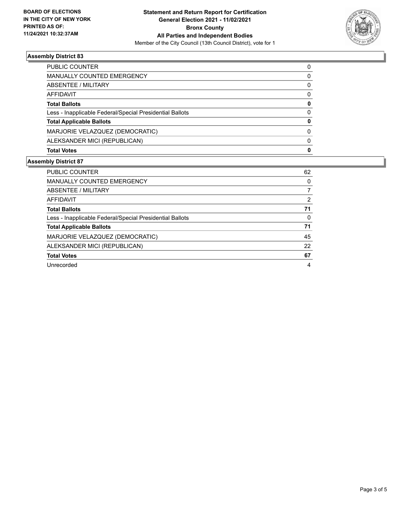

### **Assembly District 83**

| PUBLIC COUNTER                                           | 0        |
|----------------------------------------------------------|----------|
| <b>MANUALLY COUNTED EMERGENCY</b>                        | 0        |
| ABSENTEE / MILITARY                                      | 0        |
| AFFIDAVIT                                                | 0        |
| <b>Total Ballots</b>                                     | 0        |
| Less - Inapplicable Federal/Special Presidential Ballots | $\Omega$ |
| <b>Total Applicable Ballots</b>                          | 0        |
| MARJORIE VELAZQUEZ (DEMOCRATIC)                          | 0        |
| ALEKSANDER MICI (REPUBLICAN)                             | $\Omega$ |
| <b>Total Votes</b>                                       | 0        |
|                                                          |          |

### **Assembly District 87**

| <b>PUBLIC COUNTER</b>                                    | 62       |
|----------------------------------------------------------|----------|
| MANUALLY COUNTED EMERGENCY                               | 0        |
| ABSENTEE / MILITARY                                      |          |
| AFFIDAVIT                                                | 2        |
| <b>Total Ballots</b>                                     | 71       |
| Less - Inapplicable Federal/Special Presidential Ballots | $\Omega$ |
| <b>Total Applicable Ballots</b>                          | 71       |
| MARJORIE VELAZQUEZ (DEMOCRATIC)                          | 45       |
| ALEKSANDER MICI (REPUBLICAN)                             | 22       |
| <b>Total Votes</b>                                       | 67       |
| Unrecorded                                               | 4        |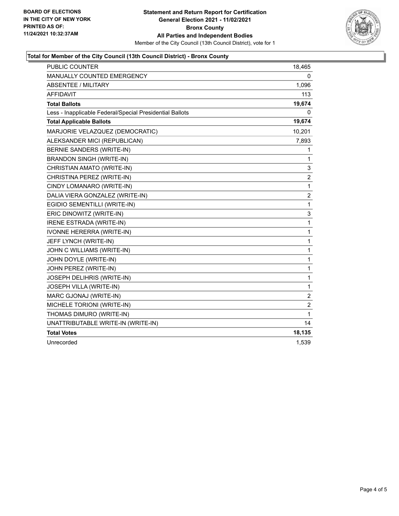

### **Total for Member of the City Council (13th Council District) - Bronx County**

| PUBLIC COUNTER                                           | 18,465                  |
|----------------------------------------------------------|-------------------------|
| <b>MANUALLY COUNTED EMERGENCY</b>                        | 0                       |
| <b>ABSENTEE / MILITARY</b>                               | 1,096                   |
| <b>AFFIDAVIT</b>                                         | 113                     |
| <b>Total Ballots</b>                                     | 19,674                  |
| Less - Inapplicable Federal/Special Presidential Ballots | 0                       |
| <b>Total Applicable Ballots</b>                          | 19,674                  |
| MARJORIE VELAZQUEZ (DEMOCRATIC)                          | 10,201                  |
| ALEKSANDER MICI (REPUBLICAN)                             | 7,893                   |
| <b>BERNIE SANDERS (WRITE-IN)</b>                         | 1                       |
| <b>BRANDON SINGH (WRITE-IN)</b>                          | 1                       |
| CHRISTIAN AMATO (WRITE-IN)                               | 3                       |
| CHRISTINA PEREZ (WRITE-IN)                               | $\overline{\mathbf{c}}$ |
| CINDY LOMANARO (WRITE-IN)                                | 1                       |
| DALIA VIERA GONZALEZ (WRITE-IN)                          | $\overline{\mathbf{c}}$ |
| EGIDIO SEMENTILLI (WRITE-IN)                             | 1                       |
| ERIC DINOWITZ (WRITE-IN)                                 | 3                       |
| IRENE ESTRADA (WRITE-IN)                                 | 1                       |
| IVONNE HERERRA (WRITE-IN)                                | 1                       |
| JEFF LYNCH (WRITE-IN)                                    | 1                       |
| JOHN C WILLIAMS (WRITE-IN)                               | 1                       |
| JOHN DOYLE (WRITE-IN)                                    | 1                       |
| JOHN PEREZ (WRITE-IN)                                    | 1                       |
| JOSEPH DELIHRIS (WRITE-IN)                               | 1                       |
| <b>JOSEPH VILLA (WRITE-IN)</b>                           | 1                       |
| MARC GJONAJ (WRITE-IN)                                   | 2                       |
| MICHELE TORIONI (WRITE-IN)                               | $\overline{c}$          |
| THOMAS DIMURO (WRITE-IN)                                 | 1                       |
| UNATTRIBUTABLE WRITE-IN (WRITE-IN)                       | 14                      |
| <b>Total Votes</b>                                       | 18,135                  |
| Unrecorded                                               | 1,539                   |